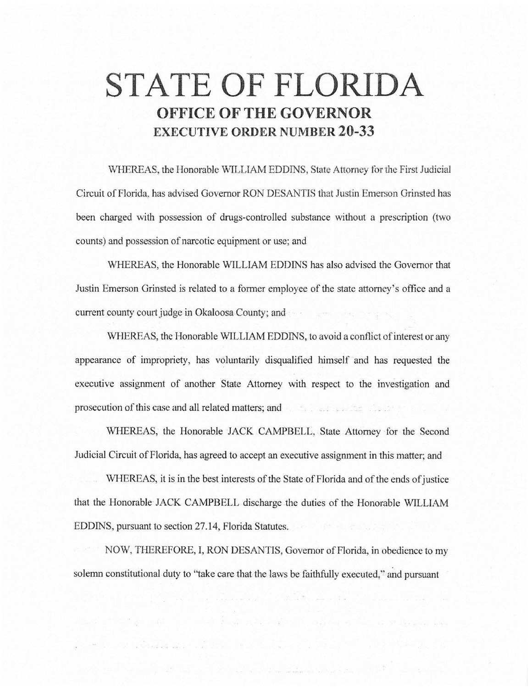# **STATE OF FLORIDA OFFICE OF THE GOVERNOR EXECUTIVE ORDER NUMBER 20-33**

WHEREAS, the Honorable WILLIAM EDDINS, State Attorney for the First Judicial Circuit of Florida, has advised Governor RON DESANTIS that Justin Emerson Grinsted has been charged with possession of dmgs-controlled substance without a prescription (two counts) and possession of narcotic equipment or use; and

WHEREAS, the Honorable WILLIAM EDDINS has also advised the Governor that Justin Emerson Grinsted is related to a former employee of the state attorney's office and a current county court judge in Okaloosa County; and

WHEREAS, the Honorable WILLIAM EDDINS, to avoid a conflict of interest or any appearance of impropriety, has voluntarily disqualified himself and has requested the executive assignment of another State Attorney with respect to the investigation and prosecution of this case and all related matters; and

WHEREAS, the Honorable JACK CAMPBELL, State Attorney for the Second Judicial Circuit of Florida, has agreed to accept an executive assignment in this matter; and

WHEREAS, it is in the best interests of the State of Florida and of the ends of justice that the Honorable JACK CAMPBELL discharge the duties of the Honorable WILLIAM EDDINS, pursuant to section 27.14, Florida Statutes.

NOW, THEREFORE, I, RON DESANTIS, Governor of Florida, in obedience to my solemn constitutional duty to "take care that the Jaws be faithfully executed," and pursuant

<u> Louis Communication de la communication de la communication de la communication de la communication de la communication de la communication de la communication de la communication de la communication de la communication </u>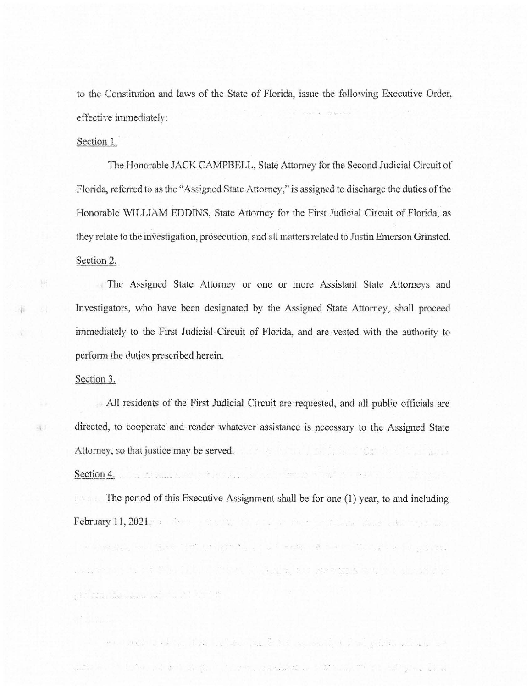to the Constitution and laws of the State of Florida, issue the following Executive Order, effective immediately:

### Section 1.

The Honorable JACK CAMPBELL, State Attorney for the Second Judicial Circuit of Florida, referred to as the "Assigned State Attorney," is assigned to discharge the duties of the Honorable WILLIAM EDDINS, State Attorney for the First Judicial Circuit of Florida, as they relate to the investigation, prosecution, and all matters related to Justin Emerson Grinsted. Section 2.

The Assigned State Attorney or one or more Assistant State Attorneys and Investigators, who have been designated by the Assigned State Attorney, shall proceed immediately to the First Judicial Circuit of Florida, and are vested with the authority to perform the duties prescribed herein.

#### Section 3.

chi

深く

All residents of the First Judicial Circuit are requested, and all. public officials are directed, to cooperate and render whatever assistance is necessary to the Assigned State Attorney, so that justice may be served.

이는 비행보다 있는데 어떻는 것이 있어요. 이 사람들은 가능을 만나고 보여 있어 버렸다. 이 사

## Section 4.

 $\frac{1}{2}+\frac{1}{2}+\frac{1}{2}+\frac{1}{2}+\frac{1}{2}+\frac{1}{2}+\frac{1}{2}+\frac{1}{2}+\frac{1}{2}+\frac{1}{2}+\frac{1}{2}+\frac{1}{2}+\frac{1}{2}+\frac{1}{2}+\frac{1}{2}+\frac{1}{2}+\frac{1}{2}+\frac{1}{2}+\frac{1}{2}+\frac{1}{2}+\frac{1}{2}+\frac{1}{2}+\frac{1}{2}+\frac{1}{2}+\frac{1}{2}+\frac{1}{2}+\frac{1}{2}+\frac{1}{2}+\frac{1}{2}+\frac{1}{2}+\frac{1}{2}+\frac{$ 

The period of this Executive Assignment shall be for one (1) year, to and including **February 11, 2021.** The state of the state of the state of the state of the state of the state of the state of the state of the state of the state of the state of the state of the state of the state of the state of the st

I was produced to the second contract of weapons to the communication of the

as a communication of the communication of a all a state and the communication of the communication

of the state of the state was and the second of the state of the state of the